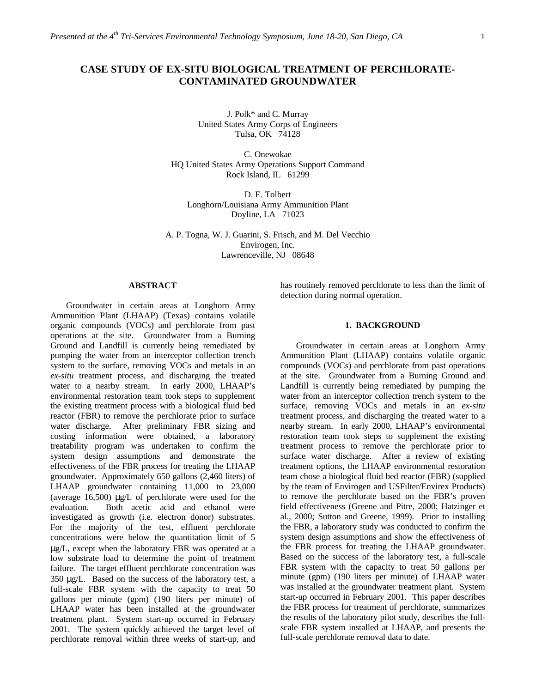# **CASE STUDY OF EX-SITU BIOLOGICAL TREATMENT OF PERCHLORATE-CONTAMINATED GROUNDWATER**

J. Polk\* and C. Murray United States Army Corps of Engineers Tulsa, OK 74128

C. Onewokae HQ United States Army Operations Support Command Rock Island, IL 61299

D. E. Tolbert Longhorn/Louisiana Army Ammunition Plant Doyline, LA 71023

A. P. Togna, W. J. Guarini, S. Frisch, and M. Del Vecchio Envirogen, Inc. Lawrenceville, NJ 08648

### **ABSTRACT**

Groundwater in certain areas at Longhorn Army Ammunition Plant (LHAAP) (Texas) contains volatile organic compounds (VOCs) and perchlorate from past operations at the site. Groundwater from a Burning Ground and Landfill is currently being remediated by pumping the water from an interceptor collection trench system to the surface, removing VOCs and metals in an *ex-situ* treatment process, and discharging the treated water to a nearby stream. In early 2000, LHAAP's environmental restoration team took steps to supplement the existing treatment process with a biological fluid bed reactor (FBR) to remove the perchlorate prior to surface<br>water discharge. After preliminary FBR sizing and After preliminary FBR sizing and costing information were obtained, a laboratory treatability program was undertaken to confirm the system design assumptions and demonstrate the effectiveness of the FBR process for treating the LHAAP groundwater. Approximately 650 gallons (2,460 liters) of LHAAP groundwater containing 11,000 to 23,000 (average  $16,500$ )  $\mu g/L$  of perchlorate were used for the evaluation. Both acetic acid and ethanol were Both acetic acid and ethanol were investigated as growth (i.e. electron donor) substrates. For the majority of the test, effluent perchlorate concentrations were below the quantitation limit of 5 μg/L, except when the laboratory FBR was operated at a low substrate load to determine the point of treatment failure. The target effluent perchlorate concentration was 350 μg/L. Based on the success of the laboratory test, a full-scale FBR system with the capacity to treat 50 gallons per minute (gpm) (190 liters per minute) of LHAAP water has been installed at the groundwater treatment plant. System start-up occurred in February 2001. The system quickly achieved the target level of perchlorate removal within three weeks of start-up, and

has routinely removed perchlorate to less than the limit of detection during normal operation.

### **1. BACKGROUND**

Groundwater in certain areas at Longhorn Army Ammunition Plant (LHAAP) contains volatile organic compounds (VOCs) and perchlorate from past operations at the site. Groundwater from a Burning Ground and Landfill is currently being remediated by pumping the water from an interceptor collection trench system to the surface, removing VOCs and metals in an *ex-situ* treatment process, and discharging the treated water to a nearby stream. In early 2000, LHAAP's environmental restoration team took steps to supplement the existing treatment process to remove the perchlorate prior to surface water discharge. After a review of existing treatment options, the LHAAP environmental restoration team chose a biological fluid bed reactor (FBR) (supplied by the team of Envirogen and USFilter/Envirex Products) to remove the perchlorate based on the FBR's proven field effectiveness (Greene and Pitre, 2000; Hatzinger et al., 2000; Sutton and Greene, 1999). Prior to installing the FBR, a laboratory study was conducted to confirm the system design assumptions and show the effectiveness of the FBR process for treating the LHAAP groundwater. Based on the success of the laboratory test, a full-scale FBR system with the capacity to treat 50 gallons per minute (gpm) (190 liters per minute) of LHAAP water was installed at the groundwater treatment plant. System start-up occurred in February 2001. This paper describes the FBR process for treatment of perchlorate, summarizes the results of the laboratory pilot study, describes the fullscale FBR system installed at LHAAP, and presents the full-scale perchlorate removal data to date.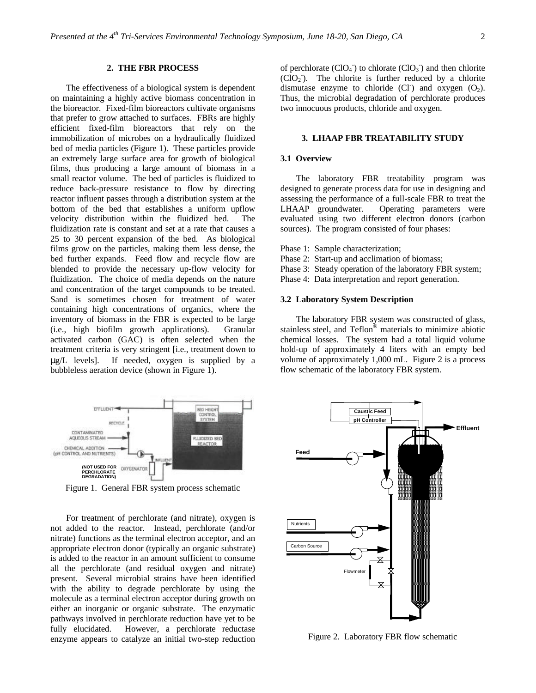### **2. THE FBR PROCESS**

The effectiveness of a biological system is dependent on maintaining a highly active biomass concentration in the bioreactor. Fixed-film bioreactors cultivate organisms that prefer to grow attached to surfaces. FBRs are highly efficient fixed-film bioreactors that rely on the immobilization of microbes on a hydraulically fluidized bed of media particles (Figure 1). These particles provide an extremely large surface area for growth of biological films, thus producing a large amount of biomass in a small reactor volume. The bed of particles is fluidized to reduce back-pressure resistance to flow by directing reactor influent passes through a distribution system at the bottom of the bed that establishes a uniform upflow velocity distribution within the fluidized bed. The fluidization rate is constant and set at a rate that causes a 25 to 30 percent expansion of the bed. As biological films grow on the particles, making them less dense, the bed further expands. Feed flow and recycle flow are blended to provide the necessary up-flow velocity for fluidization. The choice of media depends on the nature and concentration of the target compounds to be treated. Sand is sometimes chosen for treatment of water containing high concentrations of organics, where the inventory of biomass in the FBR is expected to be large (i.e., high biofilm growth applications). Granular activated carbon (GAC) is often selected when the treatment criteria is very stringent [i.e., treatment down to μg/L levels]. If needed, oxygen is supplied by a bubbleless aeration device (shown in Figure 1).



Figure 1. General FBR system process schematic

For treatment of perchlorate (and nitrate), oxygen is not added to the reactor. Instead, perchlorate (and/or nitrate) functions as the terminal electron acceptor, and an appropriate electron donor (typically an organic substrate) is added to the reactor in an amount sufficient to consume all the perchlorate (and residual oxygen and nitrate) present. Several microbial strains have been identified with the ability to degrade perchlorate by using the molecule as a terminal electron acceptor during growth on either an inorganic or organic substrate. The enzymatic pathways involved in perchlorate reduction have yet to be fully elucidated. However, a perchlorate reductase enzyme appears to catalyze an initial two-step reduction

of perchlorate  $(CIO<sub>4</sub>)$  to chlorate  $(CIO<sub>3</sub>)$  and then chlorite  $(CIO<sub>2</sub>)$ . The chlorite is further reduced by a chlorite dismutase enzyme to chloride  $(CI)$  and oxygen  $(O_2)$ . Thus, the microbial degradation of perchlorate produces two innocuous products, chloride and oxygen.

### **3. LHAAP FBR TREATABILITY STUDY**

### **3.1 Overview**

The laboratory FBR treatability program was designed to generate process data for use in designing and assessing the performance of a full-scale FBR to treat the LHAAP groundwater. Operating parameters were evaluated using two different electron donors (carbon sources). The program consisted of four phases:

- Phase 1: Sample characterization;
- Phase 2: Start-up and acclimation of biomass;
- Phase 3: Steady operation of the laboratory FBR system;
- Phase 4: Data interpretation and report generation.

#### **3.2 Laboratory System Description**

The laboratory FBR system was constructed of glass, stainless steel, and Teflon® materials to minimize abiotic chemical losses. The system had a total liquid volume hold-up of approximately 4 liters with an empty bed volume of approximately 1,000 mL. Figure 2 is a process flow schematic of the laboratory FBR system.



Figure 2. Laboratory FBR flow schematic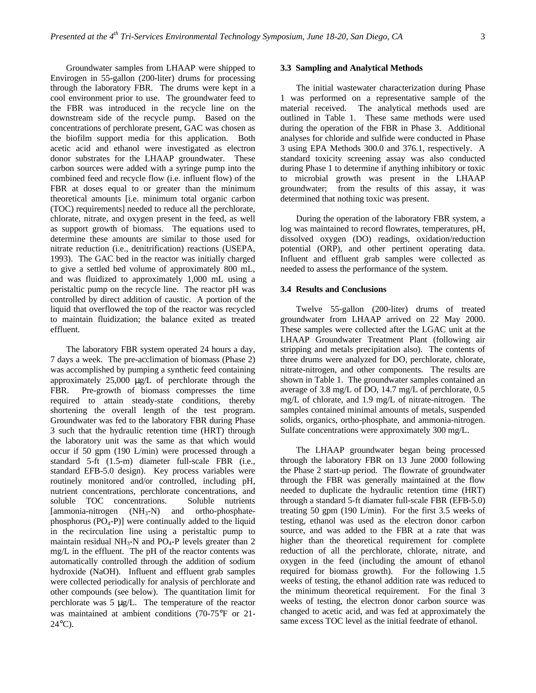Groundwater samples from LHAAP were shipped to Envirogen in 55-gallon (200-liter) drums for processing through the laboratory FBR. The drums were kept in a cool environment prior to use. The groundwater feed to the FBR was introduced in the recycle line on the downstream side of the recycle pump. Based on the concentrations of perchlorate present, GAC was chosen as the biofilm support media for this application. Both acetic acid and ethanol were investigated as electron donor substrates for the LHAAP groundwater. These carbon sources were added with a syringe pump into the combined feed and recycle flow (i.e. influent flow) of the FBR at doses equal to or greater than the minimum theoretical amounts [i.e. minimum total organic carbon (TOC) requirements] needed to reduce all the perchlorate, chlorate, nitrate, and oxygen present in the feed, as well as support growth of biomass. The equations used to determine these amounts are similar to those used for nitrate reduction (i.e., denitrification) reactions (USEPA, 1993). The GAC bed in the reactor was initially charged to give a settled bed volume of approximately 800 mL, and was fluidized to approximately 1,000 mL using a peristaltic pump on the recycle line. The reactor pH was controlled by direct addition of caustic. A portion of the liquid that overflowed the top of the reactor was recycled to maintain fluidization; the balance exited as treated effluent.

The laboratory FBR system operated 24 hours a day, 7 days a week. The pre-acclimation of biomass (Phase 2) was accomplished by pumping a synthetic feed containing approximately 25,000 μg/L of perchlorate through the FBR. Pre-growth of biomass compresses the time required to attain steady-state conditions, thereby shortening the overall length of the test program. Groundwater was fed to the laboratory FBR during Phase 3 such that the hydraulic retention time (HRT) through the laboratory unit was the same as that which would occur if 50 gpm (190 L/min) were processed through a standard 5-ft (1.5-m) diameter full-scale FBR (i.e., standard EFB-5.0 design). Key process variables were routinely monitored and/or controlled, including pH, nutrient concentrations, perchlorate concentrations, and soluble TOC concentrations. Soluble nutrients  $[ammonia-nitrogen (NH<sub>3</sub>-N)$  and ortho-phosphatephosphorus  $(PO<sub>4</sub>-P)$ ] were continually added to the liquid in the recirculation line using a peristaltic pump to maintain residual NH<sub>3</sub>-N and PO<sub>4</sub>-P levels greater than 2 mg/L in the effluent. The pH of the reactor contents was automatically controlled through the addition of sodium hydroxide (NaOH). Influent and effluent grab samples were collected periodically for analysis of perchlorate and other compounds (see below). The quantitation limit for perchlorate was 5 μg/L. The temperature of the reactor was maintained at ambient conditions (70-75°F or 21-  $24^{\circ}$ C).

# **3.3 Sampling and Analytical Methods**

The initial wastewater characterization during Phase 1 was performed on a representative sample of the material received. The analytical methods used are outlined in Table 1. These same methods were used during the operation of the FBR in Phase 3. Additional analyses for chloride and sulfide were conducted in Phase 3 using EPA Methods 300.0 and 376.1, respectively. A standard toxicity screening assay was also conducted during Phase 1 to determine if anything inhibitory or toxic to microbial growth was present in the LHAAP groundwater; from the results of this assay, it was determined that nothing toxic was present.

During the operation of the laboratory FBR system, a log was maintained to record flowrates, temperatures, pH, dissolved oxygen (DO) readings, oxidation/reduction potential (ORP), and other pertinent operating data. Influent and effluent grab samples were collected as needed to assess the performance of the system.

# **3.4 Results and Conclusions**

Twelve 55-gallon (200-liter) drums of treated groundwater from LHAAP arrived on 22 May 2000. These samples were collected after the LGAC unit at the LHAAP Groundwater Treatment Plant (following air stripping and metals precipitation also). The contents of three drums were analyzed for DO, perchlorate, chlorate, nitrate-nitrogen, and other components. The results are shown in Table 1. The groundwater samples contained an average of 3.8 mg/L of DO, 14.7 mg/L of perchlorate, 0.5 mg/L of chlorate, and 1.9 mg/L of nitrate-nitrogen. The samples contained minimal amounts of metals, suspended solids, organics, ortho-phosphate, and ammonia-nitrogen. Sulfate concentrations were approximately 300 mg/L.

The LHAAP groundwater began being processed through the laboratory FBR on 13 June 2000 following the Phase 2 start-up period. The flowrate of groundwater through the FBR was generally maintained at the flow needed to duplicate the hydraulic retention time (HRT) through a standard 5-ft diamater full-scale FBR (EFB-5.0) treating 50 gpm (190 L/min). For the first 3.5 weeks of testing, ethanol was used as the electron donor carbon source, and was added to the FBR at a rate that was higher than the theoretical requirement for complete reduction of all the perchlorate, chlorate, nitrate, and oxygen in the feed (including the amount of ethanol required for biomass growth). For the following 1.5 weeks of testing, the ethanol addition rate was reduced to the minimum theoretical requirement. For the final 3 weeks of testing, the electron donor carbon source was changed to acetic acid, and was fed at approximately the same excess TOC level as the initial feedrate of ethanol.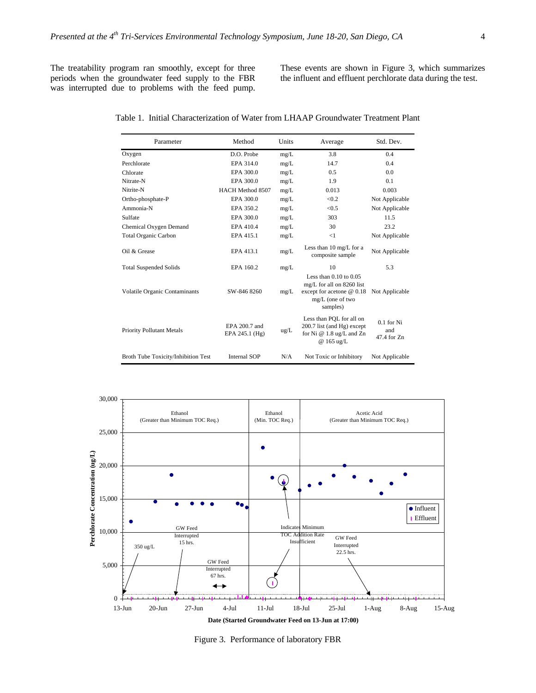The treatability program ran smoothly, except for three periods when the groundwater feed supply to the FBR was interrupted due to problems with the feed pump. These events are shown in Figure 3, which summarizes the influent and effluent perchlorate data during the test.

| Parameter                            | Method                          | Units         | Average                                                                                                              | Std. Dev.                          |
|--------------------------------------|---------------------------------|---------------|----------------------------------------------------------------------------------------------------------------------|------------------------------------|
| Oxygen                               | D.O. Probe                      | mg/L          | 3.8                                                                                                                  | 0.4                                |
| Perchlorate                          | EPA 314.0                       | mg/L          | 14.7                                                                                                                 | 0.4                                |
| Chlorate                             | EPA 300.0                       | mg/L          | 0.5                                                                                                                  | 0.0                                |
| Nitrate-N                            | EPA 300.0                       | mg/L          | 1.9                                                                                                                  | 0.1                                |
| Nitrite-N                            | HACH Method 8507                | mg/L          | 0.013                                                                                                                | 0.003                              |
| Ortho-phosphate-P                    | EPA 300.0                       | mg/L          | < 0.2                                                                                                                | Not Applicable                     |
| Ammonia-N                            | EPA 350.2                       | mg/L          | < 0.5                                                                                                                | Not Applicable                     |
| Sulfate                              | EPA 300.0                       | mg/L          | 303                                                                                                                  | 11.5                               |
| Chemical Oxygen Demand               | EPA 410.4                       | mg/L          | 30                                                                                                                   | 23.2                               |
| <b>Total Organic Carbon</b>          | EPA 415.1                       | mg/L          | <1                                                                                                                   | Not Applicable                     |
| Oil & Grease                         | EPA 413.1                       | mg/L          | Less than $10 \text{ mg/L}$ for a<br>composite sample                                                                | Not Applicable                     |
| <b>Total Suspended Solids</b>        | EPA 160.2                       | mg/L          | 10                                                                                                                   | 5.3                                |
| <b>Volatile Organic Contaminants</b> | SW-846 8260                     | mg/L          | Less than $0.10$ to $0.05$<br>mg/L for all on 8260 list<br>except for acetone @ 0.18<br>mg/L (one of two<br>samples) | Not Applicable                     |
| <b>Priority Pollutant Metals</b>     | EPA 200.7 and<br>EPA 245.1 (Hg) | $\text{ug/L}$ | Less than POL for all on<br>200.7 list (and Hg) except<br>for Ni $@$ 1.8 ug/L and Zn<br>$@165 \text{ ug/L}$          | $0.1$ for Ni<br>and<br>47.4 for Zn |
| Broth Tube Toxicity/Inhibition Test  | <b>Internal SOP</b>             | N/A           | Not Toxic or Inhibitory                                                                                              | Not Applicable                     |

Table 1. Initial Characterization of Water from LHAAP Groundwater Treatment Plant



Figure 3. Performance of laboratory FBR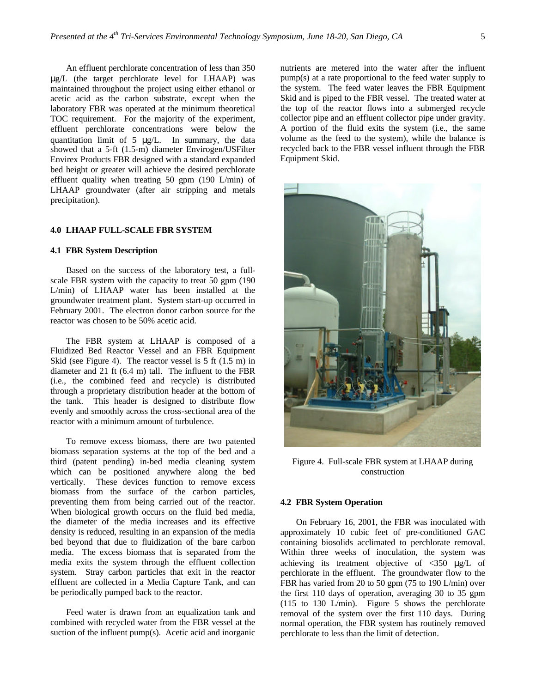An effluent perchlorate concentration of less than 350 μg/L (the target perchlorate level for LHAAP) was maintained throughout the project using either ethanol or acetic acid as the carbon substrate, except when the laboratory FBR was operated at the minimum theoretical TOC requirement. For the majority of the experiment, effluent perchlorate concentrations were below the quantitation limit of 5 μg/L. In summary, the data showed that a 5-ft (1.5-m) diameter Envirogen/USFilter Envirex Products FBR designed with a standard expanded bed height or greater will achieve the desired perchlorate effluent quality when treating 50 gpm (190 L/min) of LHAAP groundwater (after air stripping and metals precipitation).

### **4.0 LHAAP FULL-SCALE FBR SYSTEM**

## **4.1 FBR System Description**

Based on the success of the laboratory test, a fullscale FBR system with the capacity to treat 50 gpm (190 L/min) of LHAAP water has been installed at the groundwater treatment plant. System start-up occurred in February 2001. The electron donor carbon source for the reactor was chosen to be 50% acetic acid.

The FBR system at LHAAP is composed of a Fluidized Bed Reactor Vessel and an FBR Equipment Skid (see Figure 4). The reactor vessel is 5 ft (1.5 m) in diameter and 21 ft (6.4 m) tall. The influent to the FBR (i.e., the combined feed and recycle) is distributed through a proprietary distribution header at the bottom of the tank. This header is designed to distribute flow evenly and smoothly across the cross-sectional area of the reactor with a minimum amount of turbulence.

To remove excess biomass, there are two patented biomass separation systems at the top of the bed and a third (patent pending) in-bed media cleaning system which can be positioned anywhere along the bed vertically. These devices function to remove excess biomass from the surface of the carbon particles, preventing them from being carried out of the reactor. When biological growth occurs on the fluid bed media, the diameter of the media increases and its effective density is reduced, resulting in an expansion of the media bed beyond that due to fluidization of the bare carbon media. The excess biomass that is separated from the media exits the system through the effluent collection system. Stray carbon particles that exit in the reactor effluent are collected in a Media Capture Tank, and can be periodically pumped back to the reactor.

Feed water is drawn from an equalization tank and combined with recycled water from the FBR vessel at the suction of the influent pump(s). Acetic acid and inorganic

nutrients are metered into the water after the influent pump(s) at a rate proportional to the feed water supply to the system. The feed water leaves the FBR Equipment Skid and is piped to the FBR vessel. The treated water at the top of the reactor flows into a submerged recycle collector pipe and an effluent collector pipe under gravity. A portion of the fluid exits the system (i.e., the same volume as the feed to the system), while the balance is recycled back to the FBR vessel influent through the FBR Equipment Skid.



Figure 4. Full-scale FBR system at LHAAP during construction

### **4.2 FBR System Operation**

On February 16, 2001, the FBR was inoculated with approximately 10 cubic feet of pre-conditioned GAC containing biosolids acclimated to perchlorate removal. Within three weeks of inoculation, the system was achieving its treatment objective of <350 μg/L of perchlorate in the effluent. The groundwater flow to the FBR has varied from 20 to 50 gpm (75 to 190 L/min) over the first 110 days of operation, averaging 30 to 35 gpm (115 to 130 L/min). Figure 5 shows the perchlorate removal of the system over the first 110 days. During normal operation, the FBR system has routinely removed perchlorate to less than the limit of detection.